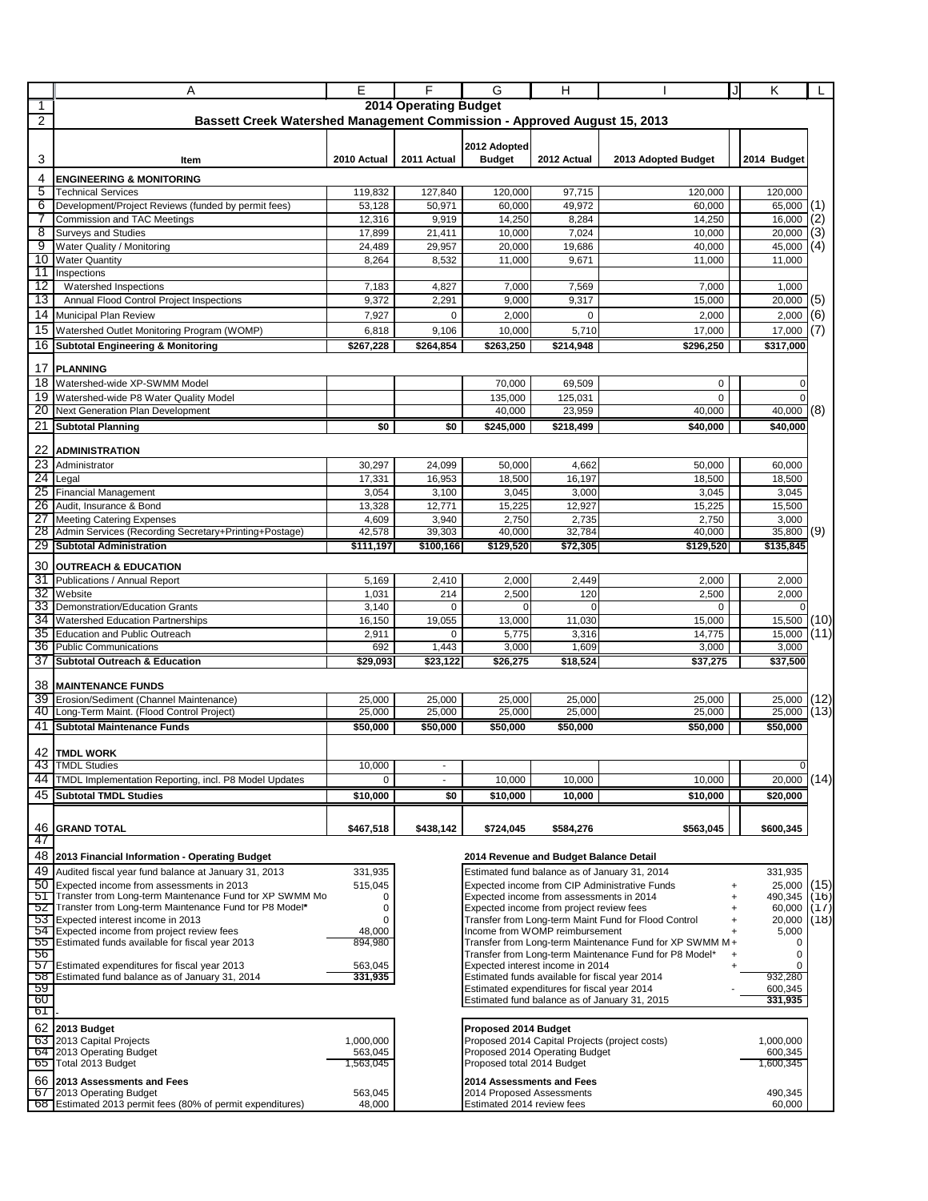|                       | Α                                                                                                                                                                     | Е                                                                        | F                            | G                                                                                             | Н                                        |                                                         | Jl | Κ                    | L            |  |  |
|-----------------------|-----------------------------------------------------------------------------------------------------------------------------------------------------------------------|--------------------------------------------------------------------------|------------------------------|-----------------------------------------------------------------------------------------------|------------------------------------------|---------------------------------------------------------|----|----------------------|--------------|--|--|
| 1                     |                                                                                                                                                                       |                                                                          | <b>2014 Operating Budget</b> |                                                                                               |                                          |                                                         |    |                      |              |  |  |
| 2                     |                                                                                                                                                                       | Bassett Creek Watershed Management Commission - Approved August 15, 2013 |                              |                                                                                               |                                          |                                                         |    |                      |              |  |  |
| 3                     | Item                                                                                                                                                                  | 2010 Actual                                                              | 2011 Actual                  | 2012 Adopted<br><b>Budget</b>                                                                 | 2012 Actual                              | 2013 Adopted Budget                                     |    | 2014 Budget          |              |  |  |
| 4                     | <b>ENGINEERING &amp; MONITORING</b>                                                                                                                                   |                                                                          |                              |                                                                                               |                                          |                                                         |    |                      |              |  |  |
| 5                     | <b>Technical Services</b>                                                                                                                                             | 119,832                                                                  | 127,840                      | 120,000                                                                                       | 97,715                                   | 120,000                                                 |    | 120,000              |              |  |  |
| 6                     | Development/Project Reviews (funded by permit fees)                                                                                                                   | 53,128                                                                   | 50,971                       | 60,000                                                                                        | 49,972                                   | 60,000                                                  |    | 65,000               | (1)          |  |  |
| 7                     | Commission and TAC Meetings                                                                                                                                           | 12,316                                                                   | 9,919                        | 14,250                                                                                        | 8,284                                    | 14,250                                                  |    | 16,000               | (2)          |  |  |
| 8                     | <b>Surveys and Studies</b>                                                                                                                                            | 17,899                                                                   | 21,411                       | 10,000                                                                                        | 7,024                                    | 10,000                                                  |    | 20,000               | (3)          |  |  |
| 9<br>10               | Water Quality / Monitoring                                                                                                                                            | 24,489                                                                   | 29,957                       | 20,000                                                                                        | 19,686                                   | 40,000                                                  |    | 45,000               | (4)          |  |  |
| 11                    | <b>Water Quantity</b><br>Inspections                                                                                                                                  | 8,264                                                                    | 8,532                        | 11,000                                                                                        | 9,671                                    | 11,000                                                  |    | 11,000               |              |  |  |
| 12                    | Watershed Inspections                                                                                                                                                 | 7,183                                                                    | 4,827                        | 7,000                                                                                         | 7,569                                    | 7,000                                                   |    | 1,000                |              |  |  |
| 13                    | Annual Flood Control Project Inspections                                                                                                                              | 9,372                                                                    | 2,291                        | 9,000                                                                                         | 9,317                                    | 15,000                                                  |    | 20,000               | (5)          |  |  |
| 14                    | Municipal Plan Review                                                                                                                                                 | 7,927                                                                    | 0                            | 2,000                                                                                         | $\Omega$                                 | 2,000                                                   |    | 2,000                | (6)          |  |  |
| 15                    | Watershed Outlet Monitoring Program (WOMP)                                                                                                                            | 6,818                                                                    | 9,106                        | 10,000                                                                                        | 5,710                                    | 17,000                                                  |    | 17,000               | (7)          |  |  |
| 16                    | <b>Subtotal Engineering &amp; Monitoring</b>                                                                                                                          | \$267,228                                                                | \$264,854                    | \$263,250                                                                                     | \$214,948                                | \$296,250                                               |    | \$317,000            |              |  |  |
|                       |                                                                                                                                                                       |                                                                          |                              |                                                                                               |                                          |                                                         |    |                      |              |  |  |
| 17                    | <b>PLANNING</b>                                                                                                                                                       |                                                                          |                              |                                                                                               |                                          |                                                         |    |                      |              |  |  |
|                       | 18 Watershed-wide XP-SWMM Model                                                                                                                                       |                                                                          |                              | 70,000                                                                                        | 69.509                                   | 0                                                       |    | $\mathbf 0$          |              |  |  |
| 19                    | Watershed-wide P8 Water Quality Model                                                                                                                                 |                                                                          |                              | 135,000                                                                                       | 125,031                                  | $\Omega$                                                |    | $\Omega$             |              |  |  |
| 20                    | Next Generation Plan Development                                                                                                                                      |                                                                          |                              | 40,000                                                                                        | 23,959                                   | 40,000                                                  |    | 40,000               | (8)          |  |  |
| 21                    | <b>Subtotal Planning</b>                                                                                                                                              | \$0                                                                      | \$0                          | \$245,000                                                                                     | \$218,499                                | \$40,000                                                |    | \$40,000             |              |  |  |
|                       |                                                                                                                                                                       |                                                                          |                              |                                                                                               |                                          |                                                         |    |                      |              |  |  |
| 22                    | <b>ADMINISTRATION</b>                                                                                                                                                 |                                                                          |                              |                                                                                               |                                          |                                                         |    |                      |              |  |  |
| 23                    | Administrator                                                                                                                                                         | 30,297                                                                   | 24,099                       | 50,000                                                                                        | 4,662                                    | 50,000                                                  |    | 60,000               |              |  |  |
| 24<br>25              | Legal<br><b>Financial Management</b>                                                                                                                                  | 17,331<br>3,054                                                          | 16,953<br>3,100              | 18,500<br>3,045                                                                               | 16,197<br>3,000                          | 18,500<br>3,045                                         |    | 18,500<br>3,045      |              |  |  |
| 26                    | Audit. Insurance & Bond                                                                                                                                               | 13,328                                                                   | 12,771                       | 15,225                                                                                        | 12,927                                   | 15,225                                                  |    | 15,500               |              |  |  |
| 27                    | <b>Meeting Catering Expenses</b>                                                                                                                                      | 4,609                                                                    | 3,940                        | 2,750                                                                                         | 2,735                                    | 2,750                                                   |    | 3,000                |              |  |  |
| 28                    | Admin Services (Recording Secretary+Printing+Postage)                                                                                                                 | 42,578                                                                   | 39,303                       | 40,000                                                                                        | 32,784                                   | 40,000                                                  |    | 35,800               | (9)          |  |  |
| 29                    | <b>Subtotal Administration</b>                                                                                                                                        | \$111,197                                                                | \$100,166                    | \$129,520                                                                                     | \$72,305                                 | \$129,520                                               |    | \$135,845            |              |  |  |
|                       |                                                                                                                                                                       |                                                                          |                              |                                                                                               |                                          |                                                         |    |                      |              |  |  |
| 30 <sup>°</sup><br>31 | <b>OUTREACH &amp; EDUCATION</b>                                                                                                                                       |                                                                          |                              |                                                                                               |                                          |                                                         |    |                      |              |  |  |
| 32                    | Publications / Annual Report<br>Website                                                                                                                               | 5,169<br>1,031                                                           | 2,410<br>214                 | 2,000<br>2,500                                                                                | 2,449<br>120                             | 2,000<br>2,500                                          |    | 2,000<br>2,000       |              |  |  |
| 33                    | Demonstration/Education Grants                                                                                                                                        | 3,140                                                                    | 0                            | $\Omega$                                                                                      | $\Omega$                                 | 0                                                       |    |                      |              |  |  |
| 34                    | <b>Watershed Education Partnerships</b>                                                                                                                               | 16,150                                                                   | 19,055                       | 13,000                                                                                        | 11,030                                   | 15,000                                                  |    | 15,500               | (10)         |  |  |
| 35                    | <b>Education and Public Outreach</b>                                                                                                                                  | 2,911                                                                    | 0                            | 5,775                                                                                         | 3,316                                    | 14,775                                                  |    | 15,000               | (11)         |  |  |
| 36                    | <b>Public Communications</b>                                                                                                                                          | 692                                                                      | 1,443                        | 3,000                                                                                         | 1,609                                    | 3,000                                                   |    | 3,000                |              |  |  |
| 37                    | <b>Subtotal Outreach &amp; Education</b>                                                                                                                              | \$29,093                                                                 | \$23,122                     | \$26,275                                                                                      | \$18,524                                 | \$37,275                                                |    | \$37,500             |              |  |  |
|                       |                                                                                                                                                                       |                                                                          |                              |                                                                                               |                                          |                                                         |    |                      |              |  |  |
|                       | <b>38 MAINTENANCE FUNDS</b>                                                                                                                                           |                                                                          |                              |                                                                                               |                                          |                                                         |    |                      |              |  |  |
| 39<br>40              | Erosion/Sediment (Channel Maintenance)<br>Long-Term Maint. (Flood Control Project)                                                                                    | 25.000<br>25,000                                                         | 25,000<br>25,000             | 25,000<br>25,000                                                                              | 25,000<br>25,000                         | 25.000<br>25,000                                        |    | 25,000<br>25.000     | (12)<br>(13) |  |  |
| 41                    | <b>Subtotal Maintenance Funds</b>                                                                                                                                     | \$50.000                                                                 | \$50.000                     | \$50,000                                                                                      |                                          | \$50.000                                                |    | \$50,000             |              |  |  |
|                       |                                                                                                                                                                       |                                                                          |                              |                                                                                               | \$50,000                                 |                                                         |    |                      |              |  |  |
|                       | 42 TMDL WORK                                                                                                                                                          |                                                                          |                              |                                                                                               |                                          |                                                         |    |                      |              |  |  |
| 43                    | <b>TMDL Studies</b>                                                                                                                                                   | 10,000                                                                   |                              |                                                                                               |                                          |                                                         |    | 0                    |              |  |  |
| 44                    | TMDL Implementation Reporting, incl. P8 Model Updates                                                                                                                 | $\mathbf 0$                                                              |                              | 10,000                                                                                        | 10,000                                   | 10,000                                                  |    | 20.000               | (14)         |  |  |
| 45                    | <b>Subtotal TMDL Studies</b>                                                                                                                                          | \$10,000                                                                 | \$0                          | \$10,000                                                                                      | 10,000                                   | \$10,000                                                |    | \$20,000             |              |  |  |
|                       |                                                                                                                                                                       |                                                                          |                              |                                                                                               |                                          |                                                         |    |                      |              |  |  |
|                       | 46 GRAND TOTAL                                                                                                                                                        | \$467,518                                                                | \$438,142                    | \$724,045                                                                                     | \$584,276                                | \$563,045                                               |    | \$600,345            |              |  |  |
| 47                    |                                                                                                                                                                       |                                                                          |                              |                                                                                               |                                          |                                                         |    |                      |              |  |  |
| 48                    | 2013 Financial Information - Operating Budget                                                                                                                         |                                                                          |                              |                                                                                               |                                          |                                                         |    |                      |              |  |  |
| 49                    | 2014 Revenue and Budget Balance Detail<br>Audited fiscal year fund balance at January 31, 2013<br>331,935<br>Estimated fund balance as of January 31, 2014<br>331,935 |                                                                          |                              |                                                                                               |                                          |                                                         |    |                      |              |  |  |
| 50                    | Expected income from assessments in 2013                                                                                                                              | 515,045                                                                  |                              |                                                                                               |                                          | Expected income from CIP Administrative Funds           | +  | 25,000               | (15)         |  |  |
| 51                    | Transfer from Long-term Maintenance Fund for XP SWMM Mo                                                                                                               | 0                                                                        |                              |                                                                                               | Expected income from assessments in 2014 |                                                         |    | 490,345              | (16)         |  |  |
| 52                    | Transfer from Long-term Maintenance Fund for P8 Model*                                                                                                                | 0                                                                        |                              |                                                                                               | Expected income from project review fees |                                                         |    | 60,000               | (1/)         |  |  |
| 54                    | 53 Expected interest income in 2013<br>Expected income from project review fees                                                                                       | 0<br>48,000                                                              |                              |                                                                                               | Income from WOMP reimbursement           | Transfer from Long-term Maint Fund for Flood Control    |    | 20,000<br>5,000      | (18)         |  |  |
| 55<br>1               | Estimated funds available for fiscal year 2013                                                                                                                        | 894,980                                                                  |                              |                                                                                               |                                          | Transfer from Long-term Maintenance Fund for XP SWMM M+ |    | 0                    |              |  |  |
| 56                    |                                                                                                                                                                       |                                                                          |                              | Transfer from Long-term Maintenance Fund for P8 Model*                                        |                                          |                                                         |    | $\mathbf 0$          |              |  |  |
| 57                    | Estimated expenditures for fiscal year 2013<br>Estimated fund balance as of January 31, 2014                                                                          | 563,045                                                                  |                              | Expected interest income in 2014                                                              |                                          |                                                         |    | 0<br>932,280         |              |  |  |
| 58<br>59              |                                                                                                                                                                       | 331,935                                                                  |                              | Estimated funds available for fiscal year 2014<br>Estimated expenditures for fiscal year 2014 |                                          |                                                         |    |                      |              |  |  |
| 60                    |                                                                                                                                                                       |                                                                          |                              |                                                                                               |                                          | Estimated fund balance as of January 31, 2015           |    | 600,345<br>331,935   |              |  |  |
| 61                    |                                                                                                                                                                       |                                                                          |                              |                                                                                               |                                          |                                                         |    |                      |              |  |  |
|                       | 62 2013 Budget                                                                                                                                                        |                                                                          |                              | Proposed 2014 Budget                                                                          |                                          |                                                         |    |                      |              |  |  |
|                       | 63 2013 Capital Projects                                                                                                                                              | 1,000,000                                                                |                              |                                                                                               |                                          | Proposed 2014 Capital Projects (project costs)          |    | 1,000,000            |              |  |  |
|                       | 64 2013 Operating Budget<br>65 Total 2013 Budget                                                                                                                      | 563,045<br>1,563,045                                                     |                              | Proposed total 2014 Budget                                                                    | Proposed 2014 Operating Budget           |                                                         |    | 600,345<br>1,600,345 |              |  |  |
|                       |                                                                                                                                                                       |                                                                          |                              |                                                                                               |                                          |                                                         |    |                      |              |  |  |
|                       | 66 2013 Assessments and Fees<br>67 2013 Operating Budget                                                                                                              | 563,045                                                                  |                              | 2014 Assessments and Fees<br>2014 Proposed Assessments                                        |                                          |                                                         |    | 490,345              |              |  |  |
|                       | 68 Estimated 2013 permit fees (80% of permit expenditures)                                                                                                            | 48,000                                                                   |                              | Estimated 2014 review fees<br>60,000                                                          |                                          |                                                         |    |                      |              |  |  |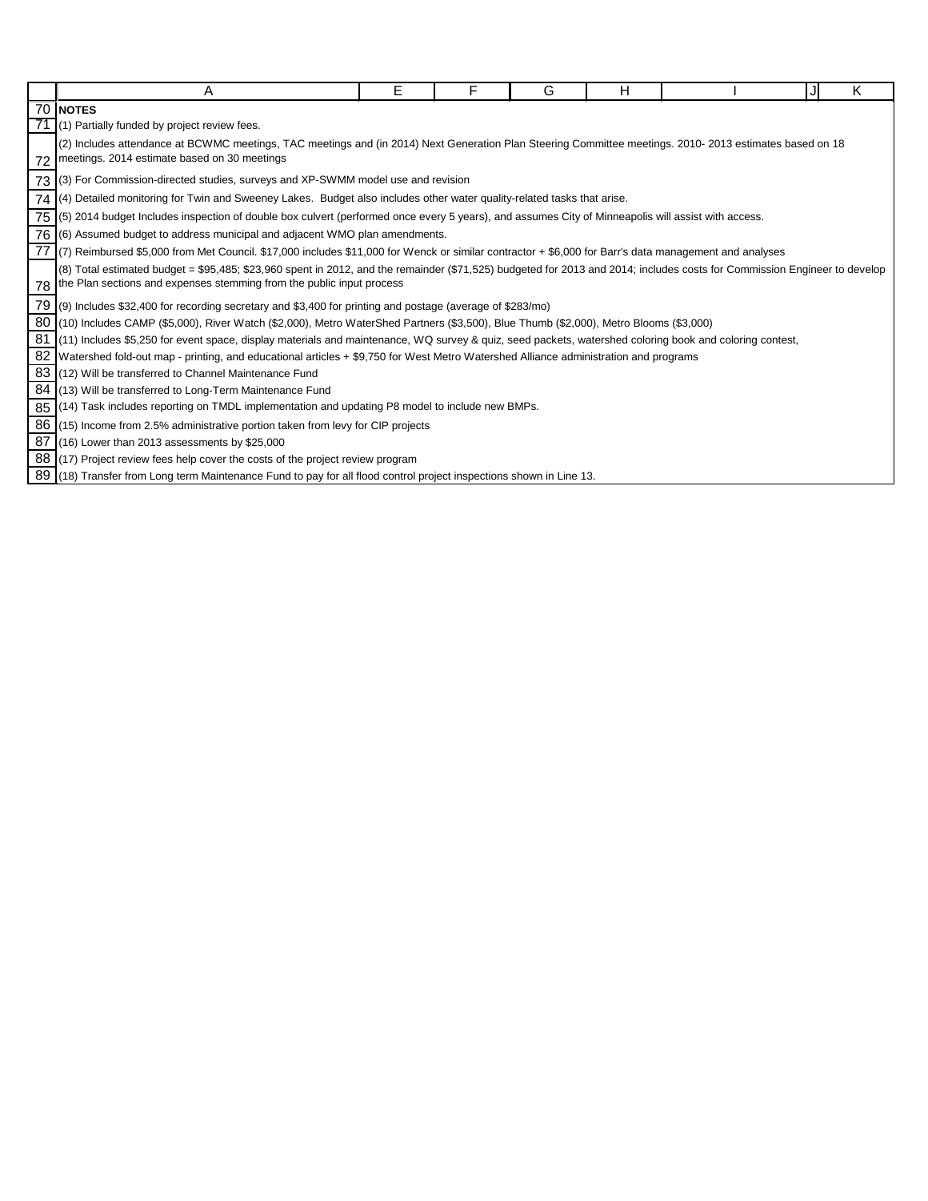|    | Α                                                                                                                                                                         | E | F | G | н |  |  | K |  |
|----|---------------------------------------------------------------------------------------------------------------------------------------------------------------------------|---|---|---|---|--|--|---|--|
|    | <b>70 INOTES</b>                                                                                                                                                          |   |   |   |   |  |  |   |  |
|    | (1) Partially funded by project review fees.                                                                                                                              |   |   |   |   |  |  |   |  |
|    | (2) Includes attendance at BCWMC meetings, TAC meetings and (in 2014) Next Generation Plan Steering Committee meetings. 2010- 2013 estimates based on 18                  |   |   |   |   |  |  |   |  |
| 72 | meetings. 2014 estimate based on 30 meetings                                                                                                                              |   |   |   |   |  |  |   |  |
| 73 | (3) For Commission-directed studies, surveys and XP-SWMM model use and revision                                                                                           |   |   |   |   |  |  |   |  |
| 74 | (4) Detailed monitoring for Twin and Sweeney Lakes. Budget also includes other water quality-related tasks that arise.                                                    |   |   |   |   |  |  |   |  |
| 75 | (5) 2014 budget Includes inspection of double box culvert (performed once every 5 years), and assumes City of Minneapolis will assist with access.                        |   |   |   |   |  |  |   |  |
|    | 76 (6) Assumed budget to address municipal and adjacent WMO plan amendments.                                                                                              |   |   |   |   |  |  |   |  |
|    | 77 (7) Reimbursed \$5,000 from Met Council. \$17,000 includes \$11,000 for Wenck or similar contractor + \$6,000 for Barr's data management and analyses                  |   |   |   |   |  |  |   |  |
|    | (8) Total estimated budget = \$95,485; \$23,960 spent in 2012, and the remainder (\$71,525) budgeted for 2013 and 2014; includes costs for Commission Engineer to develop |   |   |   |   |  |  |   |  |
| 78 | the Plan sections and expenses stemming from the public input process                                                                                                     |   |   |   |   |  |  |   |  |
| 79 | (9) Includes \$32,400 for recording secretary and \$3,400 for printing and postage (average of \$283/mo)                                                                  |   |   |   |   |  |  |   |  |
| 80 | (10) Includes CAMP (\$5,000), River Watch (\$2,000), Metro WaterShed Partners (\$3,500), Blue Thumb (\$2,000), Metro Blooms (\$3,000)                                     |   |   |   |   |  |  |   |  |
| 81 | (11) Includes \$5,250 for event space, display materials and maintenance, WQ survey & quiz, seed packets, watershed coloring book and coloring contest,                   |   |   |   |   |  |  |   |  |
| 82 | Watershed fold-out map - printing, and educational articles + \$9,750 for West Metro Watershed Alliance administration and programs                                       |   |   |   |   |  |  |   |  |
| 83 | (12) Will be transferred to Channel Maintenance Fund                                                                                                                      |   |   |   |   |  |  |   |  |
| 84 | (13) Will be transferred to Long-Term Maintenance Fund                                                                                                                    |   |   |   |   |  |  |   |  |
| 85 | (14) Task includes reporting on TMDL implementation and updating P8 model to include new BMPs.                                                                            |   |   |   |   |  |  |   |  |
| 86 | $(15)$ Income from 2.5% administrative portion taken from levy for CIP projects                                                                                           |   |   |   |   |  |  |   |  |
| 87 | $(16)$ Lower than 2013 assessments by \$25,000                                                                                                                            |   |   |   |   |  |  |   |  |
| 88 | (17) Project review fees help cover the costs of the project review program                                                                                               |   |   |   |   |  |  |   |  |
|    | 89 (18) Transfer from Long term Maintenance Fund to pay for all flood control project inspections shown in Line 13.                                                       |   |   |   |   |  |  |   |  |